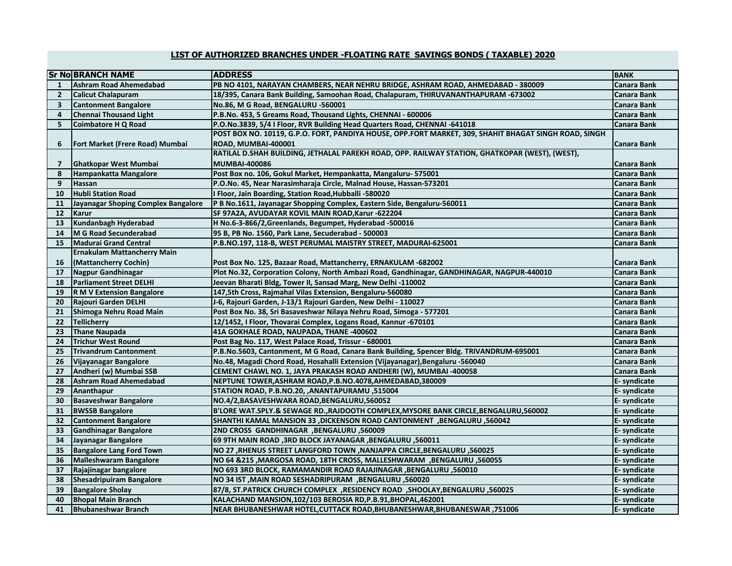## **LIST OF AUTHORIZED BRANCHES UNDER -FLOATING RATE SAVINGS BONDS ( TAXABLE) 2020**

|                | <b>Sr No BRANCH NAME</b>            | <b>ADDRESS</b>                                                                                        | <b>BANK</b>        |
|----------------|-------------------------------------|-------------------------------------------------------------------------------------------------------|--------------------|
| 1              | <b>Ashram Road Ahemedabad</b>       | PB NO 4101, NARAYAN CHAMBERS, NEAR NEHRU BRIDGE, ASHRAM ROAD, AHMEDABAD - 380009                      | Canara Bank        |
| $\overline{2}$ | <b>Calicut Chalapuram</b>           | 18/395, Canara Bank Building, Samoohan Road, Chalapuram, THIRUVANANTHAPURAM -673002                   | Canara Bank        |
| 3              | <b>Cantonment Bangalore</b>         | No.86, M G Road, BENGALURU -560001                                                                    | <b>Canara Bank</b> |
| 4              | <b>Chennai Thousand Light</b>       | P.B.No. 453, 5 Greams Road, Thousand Lights, CHENNAI - 600006                                         | Canara Bank        |
| 5              | <b>Coimbatore H Q Road</b>          | P.O.No.3839, 5/4 I Floor, RVR Building Head Quarters Road, CHENNAI -641018                            | Canara Bank        |
|                |                                     | POST BOX NO. 10119, G.P.O. FORT, PANDIYA HOUSE, OPP.FORT MARKET, 309, SHAHIT BHAGAT SINGH ROAD, SINGH |                    |
| 6              | Fort Market (Frere Road) Mumbai     | ROAD, MUMBAI-400001                                                                                   | Canara Bank        |
|                |                                     | RATILAL D.SHAH BUILDING, JETHALAL PAREKH ROAD, OPP. RAILWAY STATION, GHATKOPAR (WEST), (WEST),        |                    |
| $\overline{7}$ | <b>Ghatkopar West Mumbai</b>        | <b>MUMBAI-400086</b>                                                                                  | <b>Canara Bank</b> |
| 8              | Hampankatta Mangalore               | Post Box no. 106, Gokul Market, Hempankatta, Mangaluru- 575001                                        | <b>Canara Bank</b> |
| 9              | <b>Hassan</b>                       | P.O.No. 45, Near Narasimharaja Circle, Malnad House, Hassan-573201                                    | Canara Bank        |
| 10             | <b>Hubli Station Road</b>           | I Floor, Jain Boarding, Station Road, Hubballi -580020                                                | Canara Bank        |
| 11             | Jayanagar Shoping Complex Bangalore | P B No.1611, Jayanagar Shopping Complex, Eastern Side, Bengaluru-560011                               | <b>Canara Bank</b> |
| 12             | <b>Karur</b>                        | SF 97A2A, AVUDAYAR KOVIL MAIN ROAD, Karur - 622204                                                    | Canara Bank        |
| 13             | Kundanbagh Hyderabad                | H No.6-3-866/2, Greenlands, Begumpet, Hyderabad -500016                                               | <b>Canara Bank</b> |
| 14             | M G Road Secunderabad               | 95 B, PB No. 1560, Park Lane, Secuderabad - 500003                                                    | <b>Canara Bank</b> |
| 15             | <b>Madurai Grand Central</b>        | P.B.NO.197, 118-B, WEST PERUMAL MAISTRY STREET, MADURAI-625001                                        | <b>Canara Bank</b> |
|                | <b>Ernakulam Mattancherry Main</b>  |                                                                                                       |                    |
| 16             | (Mattancherry Cochin)               | Post Box No. 125, Bazaar Road, Mattancherry, ERNAKULAM -682002                                        | Canara Bank        |
| 17             | Nagpur Gandhinagar                  | Plot No.32, Corporation Colony, North Ambazi Road, Gandhinagar, GANDHINAGAR, NAGPUR-440010            | Canara Bank        |
| 18             | <b>Parliament Street DELHI</b>      | Jeevan Bharati Bldg, Tower II, Sansad Marg, New Delhi -110002                                         | Canara Bank        |
| 19             | <b>R M V Extension Bangalore</b>    | 147,5th Cross, Rajmahal Vilas Extension, Bengaluru-560080                                             | <b>Canara Bank</b> |
| 20             | Rajouri Garden DELHI                | J-6, Rajouri Garden, J-13/1 Rajouri Garden, New Delhi - 110027                                        | Canara Bank        |
| 21             | Shimoga Nehru Road Main             | Post Box No. 38, Sri Basaveshwar Nilaya Nehru Road, Simoga - 577201                                   | <b>Canara Bank</b> |
| 22             | <b>Tellicherry</b>                  | 12/1452, I Floor, Thovarai Complex, Logans Road, Kannur -670101                                       | <b>Canara Bank</b> |
| 23             | <b>Thane Naupada</b>                | 41A GOKHALE ROAD, NAUPADA, THANE -400602                                                              | Canara Bank        |
| 24             | <b>Trichur West Round</b>           | Post Bag No. 117, West Palace Road, Trissur - 680001                                                  | <b>Canara Bank</b> |
| 25             | <b>Trivandrum Cantonment</b>        | P.B.No.5603, Cantonment, M G Road, Canara Bank Building, Spencer Bldg. TRIVANDRUM-695001              | Canara Bank        |
| 26             | Vijayanagar Bangalore               | No.48, Magadi Chord Road, Hosahalli Extension (Vijayanagar), Bengaluru -560040                        | Canara Bank        |
| 27             | Andheri (w) Mumbai SSB              | CEMENT CHAWL NO. 1, JAYA PRAKASH ROAD ANDHERI (W), MUMBAI -400058                                     | Canara Bank        |
| 28             | <b>Ashram Road Ahemedabad</b>       | NEPTUNE TOWER, ASHRAM ROAD, P.B.NO.4078, AHMEDABAD, 380009                                            | E-syndicate        |
| 29             | Ananthapur                          | STATION ROAD, P.B.NO.20, ,ANANTAPURAMU, 515004                                                        | E-syndicate        |
| 30             | <b>Basaveshwar Bangalore</b>        | NO.4/2,BASAVESHWARA ROAD,BENGALURU,560052                                                             | E- syndicate       |
| 31             | <b>BWSSB Bangalore</b>              | B'LORE WAT.SPLY.& SEWAGE RD.,RAJDOOTH COMPLEX,MYSORE BANK CIRCLE,BENGALURU,560002                     | E- syndicate       |
| 32             | <b>Cantonment Bangalore</b>         | SHANTHI KAMAL MANSION 33 ,DICKENSON ROAD CANTONMENT ,BENGALURU ,560042                                | E-syndicate        |
| 33             | <b>Gandhinagar Bangalore</b>        | 2ND CROSS GANDHINAGAR , BENGALURU, 560009                                                             | E-syndicate        |
| 34             | Jayanagar Bangalore                 | 69 9TH MAIN ROAD ,3RD BLOCK JAYANAGAR ,BENGALURU ,560011                                              | E-syndicate        |
| 35             | <b>Bangalore Lang Ford Town</b>     | NO 27, RHENUS STREET LANGFORD TOWN, NANJAPPA CIRCLE, BENGALURU, 560025                                | E- syndicate       |
| 36             | <b>Malleshwaram Bangalore</b>       | NO 64 &215 , MARGOSA ROAD, 18TH CROSS, MALLESHWARAM , BENGALURU, 560055                               | E- syndicate       |
| 37             | Rajajinagar bangalore               | NO 693 3RD BLOCK, RAMAMANDIR ROAD RAJAJINAGAR ,BENGALURU ,560010                                      | E- syndicate       |
| 38             | <b>Shesadripuiram Bangalore</b>     | NO 34 IST, MAIN ROAD SESHADRIPURAM, BENGALURU, 560020                                                 | E-syndicate        |
| 39             | <b>Bangalore Sholay</b>             | 560025, SHOOLAY,BENGALURU, S60025, BESIDENCY ROAD, SHOOLAY,BENGALURU, S60025                          | E- syndicate       |
| 40             | <b>Bhopal Main Branch</b>           | KALACHAND MANSION, 102/103 BEROSIA RD, P.B.91, BHOPAL, 462001                                         | E- syndicate       |
| 41             | Bhubaneshwar Branch                 | NEAR BHUBANESHWAR HOTEL,CUTTACK ROAD,BHUBANESHWAR,BHUBANESWAR ,751006                                 | E- syndicate       |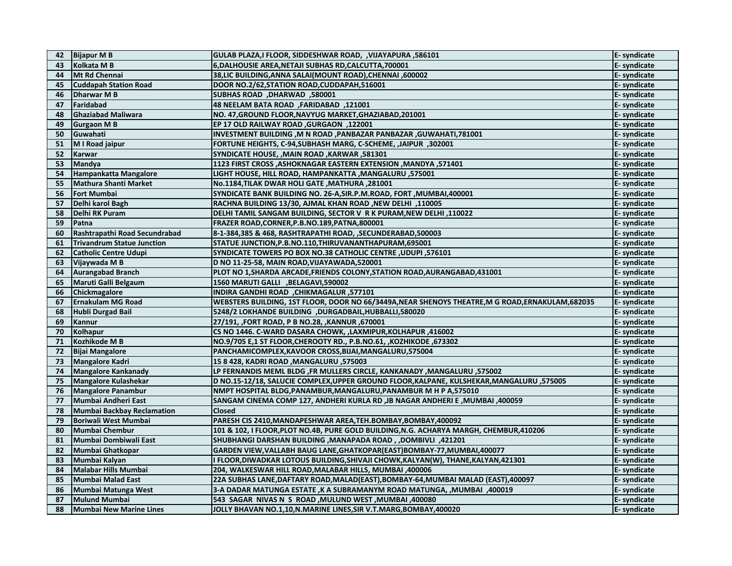| 42 | <b>Bijapur M B</b>                | GULAB PLAZA,I FLOOR, SIDDESHWAR ROAD, , VIJAYAPURA, 586101                                        | E- syndicate |
|----|-----------------------------------|---------------------------------------------------------------------------------------------------|--------------|
| 43 | Kolkata M B                       | 6, DALHOUSIE AREA, NETAJI SUBHAS RD, CALCUTTA, 700001                                             | E- syndicate |
| 44 | <b>Mt Rd Chennai</b>              | 38, LIC BUILDING, ANNA SALAI (MOUNT ROAD), CHENNAI , 600002                                       | E- syndicate |
| 45 | <b>Cuddapah Station Road</b>      | DOOR NO.2/62, STATION ROAD, CUDDAPAH, 516001                                                      | E- syndicate |
| 46 | Dharwar M B                       | SUBHAS ROAD, DHARWAD, 580001                                                                      | E- syndicate |
| 47 | Faridabad                         | 48 NEELAM BATA ROAD, FARIDABAD, 121001                                                            | E- syndicate |
| 48 | <b>Ghaziabad Maliwara</b>         | NO. 47, GROUND FLOOR, NAVYUG MARKET, GHAZIABAD, 201001                                            | E- syndicate |
| 49 | <b>Gurgaon MB</b>                 | EP 17 OLD RAILWAY ROAD, GURGAON, 122001                                                           | E- syndicate |
| 50 | Guwahati                          | INVESTMENT BUILDING , M N ROAD , PANBAZAR PANBAZAR , GUWAHATI, 781001                             | E- syndicate |
| 51 | M I Road jaipur                   | FORTUNE HEIGHTS, C-94, SUBHASH MARG, C-SCHEME, , JAIPUR, 302001                                   | E-syndicate  |
| 52 | Karwar                            | SYNDICATE HOUSE, , MAIN ROAD, KARWAR, 581301                                                      | E- syndicate |
| 53 | <b>Mandya</b>                     | 1123 FIRST CROSS , ASHOKNAGAR EASTERN EXTENSION , MANDYA , 571401                                 | E- syndicate |
| 54 | Hampankatta Mangalore             | LIGHT HOUSE, HILL ROAD, HAMPANKATTA , MANGALURU, 575001                                           | E- syndicate |
| 55 | <b>Mathura Shanti Market</b>      | No.1184,TILAK DWAR HOLI GATE, MATHURA, 281001                                                     | E- syndicate |
| 56 | <b>Fort Mumbai</b>                | SYNDICATE BANK BUILDING NO. 26-A, SIR.P.M.ROAD, FORT, MUMBAI, 400001                              | E-syndicate  |
| 57 | Delhi karol Bagh                  | RACHNA BUILDING 13/30, AJMAL KHAN ROAD ,NEW DELHI ,110005                                         | E- syndicate |
| 58 | Delhi RK Puram                    | DELHI TAMIL SANGAM BUILDING, SECTOR V R K PURAM, NEW DELHI , 110022                               | E- syndicate |
| 59 | Patna                             | FRAZER ROAD, CORNER, P.B.NO.189, PATNA, 800001                                                    | E- syndicate |
| 60 | Rashtrapathi Road Secundrabad     | 8-1-384,385 & 468, RASHTRAPATHI ROAD, , SECUNDERABAD, 500003                                      | E- syndicate |
| 61 | <b>Trivandrum Statue Junction</b> | STATUE JUNCTION, P.B.NO.110, THIRUVANANTHAPURAM, 695001                                           | E- syndicate |
| 62 | <b>Catholic Centre Udupi</b>      | SYNDICATE TOWERS PO BOX NO.38 CATHOLIC CENTRE, UDUPI, 576101                                      | E- syndicate |
| 63 | Vijaywada M B                     | D NO 11-25-58, MAIN ROAD, VIJAYAWADA, 520001                                                      | E- syndicate |
| 64 | <b>Aurangabad Branch</b>          | PLOT NO 1, SHARDA ARCADE, FRIENDS COLONY, STATION ROAD, AURANGABAD, 431001                        | E- syndicate |
| 65 | Maruti Galli Belgaum              | 1560 MARUTI GALLI ,BELAGAVI,590002                                                                | E- syndicate |
| 66 | Chickmagalore                     | INDIRA GANDHI ROAD , CHIKMAGALUR, 577101                                                          | E-syndicate  |
| 67 | <b>Ernakulam MG Road</b>          | WEBSTERS BUILDING, 1ST FLOOR, DOOR NO 66/3449A, NEAR SHENOYS THEATRE, M G ROAD, ERNAKULAM, 682035 | E-syndicate  |
| 68 | <b>Hubli Durgad Bail</b>          | 5248/2 LOKHANDE BUILDING , DURGADBAIL, HUBBALLI, 580020                                           | E-syndicate  |
| 69 | Kannur                            | 27/191, ,FORT ROAD, P B NO.28, ,KANNUR ,670001                                                    | E- syndicate |
| 70 | Kolhapur                          | CS NO 1446. C-WARD DASARA CHOWK, ,LAXMIPUR,KOLHAPUR,416002                                        | E-syndicate  |
| 71 | Kozhikode M B                     | NO.9/705 E,1 ST FLOOR, CHEROOTY RD., P.B.NO.61, , KOZHIKODE, 673302                               | E-syndicate  |
| 72 | <b>Bijai Mangalore</b>            | PANCHAMICOMPLEX, KAVOOR CROSS, BIJAI, MANGALURU, 575004                                           | E-syndicate  |
| 73 | <b>Mangalore Kadri</b>            | 15 8 428, KADRI ROAD ,MANGALURU ,575003                                                           | E- syndicate |
| 74 | <b>Mangalore Kankanady</b>        | LP FERNANDIS MEML BLDG ,FR MULLERS CIRCLE, KANKANADY ,MANGALURU ,575002                           | E-syndicate  |
| 75 | <b>Mangalore Kulashekar</b>       | D NO.15-12/18, SALUCIE COMPLEX, UPPER GROUND FLOOR, KALPANE, KULSHEKAR, MANGALURU, 575005         | E- syndicate |
| 76 | <b>Mangalore Panambur</b>         | NMPT HOSPITAL BLDG, PANAMBUR, MANGALURU, PANAMBUR M H P A,575010                                  | E- syndicate |
| 77 | Mumbai Andheri East               | SANGAM CINEMA COMP 127, ANDHERI KURLA RD ,JB NAGAR ANDHERI E ,MUMBAI ,400059                      | E- syndicate |
| 78 | <b>Mumbai Backbay Reclamation</b> | <b>Closed</b>                                                                                     | E- syndicate |
| 79 | <b>Boriwali West Mumbai</b>       | PARESH CIS 2410, MANDAPESHWAR AREA, TEH.BOMBAY, BOMBAY, 400092                                    | E- syndicate |
| 80 | <b>Mumbai Chembur</b>             | 101 & 102, I FLOOR, PLOT NO.4B, PURE GOLD BUILDING, N.G. ACHARYA MARGH, CHEMBUR, 410206           | E- syndicate |
| 81 | Mumbai Dombiwali East             | SHUBHANGI DARSHAN BUILDING, MANAPADA ROAD, , DOMBIVLI ,421201                                     | E- syndicate |
| 82 | Mumbai Ghatkopar                  | GARDEN VIEW, VALLABH BAUG LANE, GHATKOPAR (EAST) BOMBAY-77, MUMBAI, 400077                        | E- syndicate |
| 83 | Mumbai Kalyan                     | I FLOOR, DIWADKAR LOTOUS BUILDING, SHIVAJI CHOWK, KALYAN(W), THANE, KALYAN, 421301                | E-syndicate  |
| 84 | Malabar Hills Mumbai              | 204, WALKESWAR HILL ROAD, MALABAR HILLS, MUMBAI ,400006                                           | E- syndicate |
| 85 | Mumbai Malad East                 | 22A SUBHAS LANE, DAFTARY ROAD, MALAD (EAST), BOMBAY-64, MUMBAI MALAD (EAST), 400097               | E- syndicate |
| 86 | Mumbai Matunga West               | 3-A DADAR MATUNGA ESTATE , K A SUBRAMANYM ROAD MATUNGA, , MUMBAI ,400019                          | E- syndicate |
| 87 | <b>Mulund Mumbai</b>              | 543 SAGAR NIVAS N S ROAD, MULUND WEST, MUMBAI, 400080                                             | E- syndicate |
| 88 | Mumbai New Marine Lines           | JOLLY BHAVAN NO.1,10,N.MARINE LINES,SIR V.T.MARG,BOMBAY,400020                                    | E- syndicate |